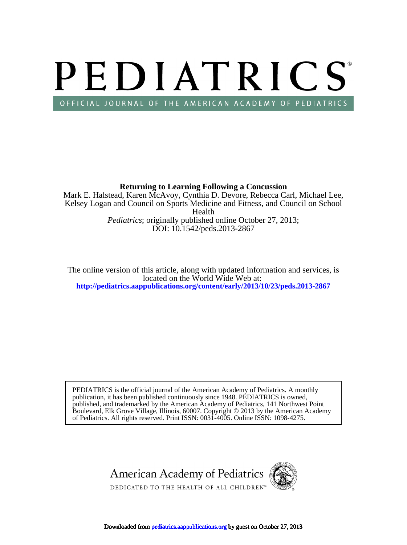# PEDIATRICS OFFICIAL JOURNAL OF THE AMERICAN ACADEMY OF PEDIATRICS

DOI: 10.1542/peds.2013-2867 *Pediatrics*; originally published online October 27, 2013; Health Kelsey Logan and Council on Sports Medicine and Fitness, and Council on School Mark E. Halstead, Karen McAvoy, Cynthia D. Devore, Rebecca Carl, Michael Lee, **Returning to Learning Following a Concussion**

**<http://pediatrics.aappublications.org/content/early/2013/10/23/peds.2013-2867>** located on the World Wide Web at: The online version of this article, along with updated information and services, is

of Pediatrics. All rights reserved. Print ISSN: 0031-4005. Online ISSN: 1098-4275. Boulevard, Elk Grove Village, Illinois, 60007. Copyright © 2013 by the American Academy published, and trademarked by the American Academy of Pediatrics, 141 Northwest Point publication, it has been published continuously since 1948. PEDIATRICS is owned, PEDIATRICS is the official journal of the American Academy of Pediatrics. A monthly

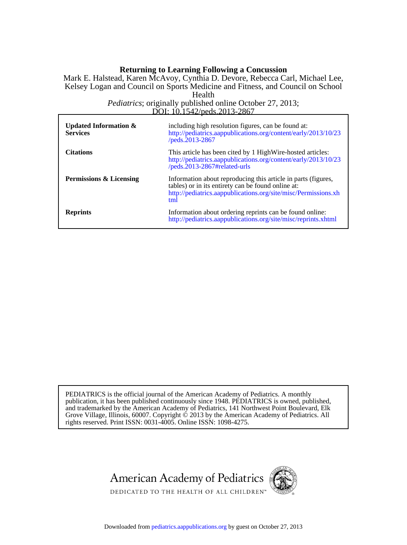# **Returning to Learning Following a Concussion**

*Pediatrics*; originally published online October 27, 2013; Health Kelsey Logan and Council on Sports Medicine and Fitness, and Council on School Mark E. Halstead, Karen McAvoy, Cynthia D. Devore, Rebecca Carl, Michael Lee,

DOI: 10.1542/peds.2013-2867

| Updated Information $\&$<br><b>Services</b> | including high resolution figures, can be found at:<br>http://pediatrics.aappublications.org/content/early/2013/10/23<br>/peds.2013-2867                                                     |
|---------------------------------------------|----------------------------------------------------------------------------------------------------------------------------------------------------------------------------------------------|
| <b>Citations</b>                            | This article has been cited by 1 High Wire-hosted articles:<br>http://pediatrics.aappublications.org/content/early/2013/10/23<br>/peds.2013-2867#related-urls                                |
| Permissions & Licensing                     | Information about reproducing this article in parts (figures,<br>tables) or in its entirety can be found online at:<br>http://pediatrics.aappublications.org/site/misc/Permissions.xh<br>tml |
| <b>Reprints</b>                             | Information about ordering reprints can be found online:<br>http://pediatrics.aappublications.org/site/misc/reprints.xhtml                                                                   |

rights reserved. Print ISSN: 0031-4005. Online ISSN: 1098-4275. Grove Village, Illinois, 60007. Copyright © 2013 by the American Academy of Pediatrics. All and trademarked by the American Academy of Pediatrics, 141 Northwest Point Boulevard, Elk publication, it has been published continuously since 1948. PEDIATRICS is owned, published, PEDIATRICS is the official journal of the American Academy of Pediatrics. A monthly



Downloaded from [pediatrics.aappublications.org](http://pediatrics.aappublications.org/) by guest on October 27, 2013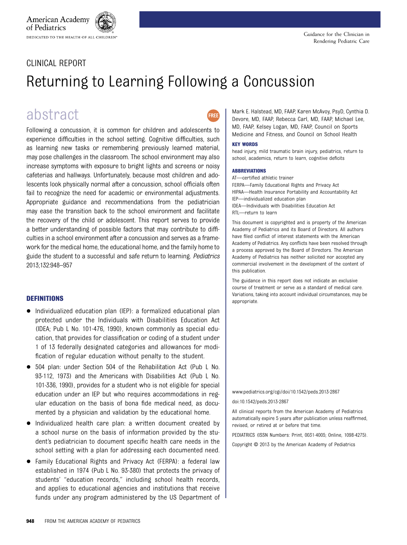# CLINICAL REPORT

American Academy

DEDICATED TO THE HEALTH OF ALL CHILDREN"

of Pediatrics

# Returning to Learning Following a Concussion

# abstract

Following a concussion, it is common for children and adolescents to experience difficulties in the school setting. Cognitive difficulties, such as learning new tasks or remembering previously learned material, may pose challenges in the classroom. The school environment may also increase symptoms with exposure to bright lights and screens or noisy cafeterias and hallways. Unfortunately, because most children and adolescents look physically normal after a concussion, school officials often fail to recognize the need for academic or environmental adjustments. Appropriate guidance and recommendations from the pediatrician may ease the transition back to the school environment and facilitate the recovery of the child or adolescent. This report serves to provide a better understanding of possible factors that may contribute to difficulties in a school environment after a concussion and serves as a framework for the medical home, the educational home, and the family home to guide the student to a successful and safe return to learning. Pediatrics 2013;132:948–957

# **DEFINITIONS**

- Individualized education plan (IEP): a formalized educational plan protected under the Individuals with Disabilities Education Act (IDEA; Pub L No. 101-476, 1990), known commonly as special education, that provides for classification or coding of a student under 1 of 13 federally designated categories and allowances for modification of regular education without penalty to the student.
- 504 plan: under Section 504 of the Rehabilitation Act (Pub L No. 93-112, 1973) and the Americans with Disabilities Act (Pub L No. 101-336, 1990), provides for a student who is not eligible for special education under an IEP but who requires accommodations in regular education on the basis of bona fide medical need, as documented by a physician and validation by the educational home.
- Individualized health care plan: a written document created by a school nurse on the basis of information provided by the student's pediatrician to document specific health care needs in the school setting with a plan for addressing each documented need.
- Family Educational Rights and Privacy Act (FERPA): a federal law established in 1974 (Pub L No. 93-380) that protects the privacy of students' "education records," including school health records, and applies to educational agencies and institutions that receive funds under any program administered by the US Department of

Mark E. Halstead, MD, FAAP, Karen McAvoy, PsyD, Cynthia D. Devore, MD, FAAP, Rebecca Carl, MD, FAAP, Michael Lee, MD, FAAP, Kelsey Logan, MD, FAAP, Council on Sports Medicine and Fitness, and Council on School Health

#### KEY WORDS

FREE

head injury, mild traumatic brain injury, pediatrics, return to school, academics, return to learn, cognitive deficits

#### ABBREVIATIONS

AT—certified athletic trainer FERPA—Family Educational Rights and Privacy Act HIPAA—Health Insurance Portability and Accountability Act IEP—individualized education plan IDEA—Individuals with Disabilities Education Act RTL—return to learn

This document is copyrighted and is property of the American Academy of Pediatrics and its Board of Directors. All authors have filed conflict of interest statements with the American Academy of Pediatrics. Any conflicts have been resolved through a process approved by the Board of Directors. The American Academy of Pediatrics has neither solicited nor accepted any commercial involvement in the development of the content of this publication.

The guidance in this report does not indicate an exclusive course of treatment or serve as a standard of medical care. Variations, taking into account individual circumstances, may be appropriate.

www.pediatrics.org/cgi/doi/10.1542/peds.2013-2867

doi:10.1542/peds.2013-2867

All clinical reports from the American Academy of Pediatrics automatically expire 5 years after publication unless reaffirmed, revised, or retired at or before that time.

PEDIATRICS (ISSN Numbers: Print, 0031-4005; Online, 1098-4275).

Copyright © 2013 by the American Academy of Pediatrics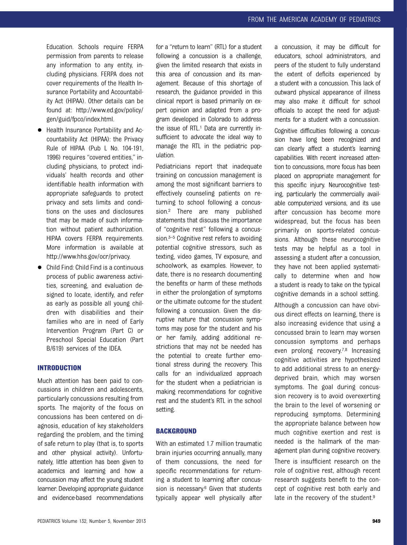Education. Schools require FERPA permission from parents to release any information to any entity, including physicians. FERPA does not cover requirements of the Health Insurance Portability and Accountability Act (HIPAA). Other details can be found at: [http://www.ed.gov/policy/](http://www.ed.gov/policy/gen/guid/fpco/index.html) [gen/guid/fpco/index.html](http://www.ed.gov/policy/gen/guid/fpco/index.html).

- Health Insurance Portability and Accountability Act (HIPAA): the Privacy Rule of HIPAA (Pub L No. 104-191, 1996) requires "covered entities," including physicians, to protect individuals' health records and other identifiable health information with appropriate safeguards to protect privacy and sets limits and conditions on the uses and disclosures that may be made of such information without patient authorization. HIPAA covers FERPA requirements. More information is available at [http://www.hhs.gov/ocr/privacy.](http://www.hhs.gov/ocr/privacy)
- Child Find: Child Find is a continuous process of public awareness activities, screening, and evaluation designed to locate, identify, and refer as early as possible all young children with disabilities and their families who are in need of Early Intervention Program (Part C) or Preschool Special Education (Part B/619) services of the IDEA.

# INTRODUCTION

Much attention has been paid to concussions in children and adolescents, particularly concussions resulting from sports. The majority of the focus on concussions has been centered on diagnosis, education of key stakeholders regarding the problem, and the timing of safe return to play (that is, to sports and other physical activity). Unfortunately, little attention has been given to academics and learning and how a concussion may affect the young student learner. Developing appropriate guidance and evidence-based recommendations

for a "return to learn" (RTL) for a student following a concussion is a challenge, given the limited research that exists in this area of concussion and its management. Because of this shortage of research, the guidance provided in this clinical report is based primarily on expert opinion and adapted from a program developed in Colorado to address the issue of RTL.<sup>1</sup> Data are currently insufficient to advocate the ideal way to manage the RTL in the pediatric population.

Pediatricians report that inadequate training on concussion management is among the most significant barriers to effectively counseling patients on returning to school following a concussion.2 There are many published statements that discuss the importance of "cognitive rest" following a concussion. $3-5$  Cognitive rest refers to avoiding potential cognitive stressors, such as texting, video games, TV exposure, and schoolwork, as examples. However, to date, there is no research documenting the benefits or harm of these methods in either the prolongation of symptoms or the ultimate outcome for the student following a concussion. Given the disruptive nature that concussion symptoms may pose for the student and his or her family, adding additional restrictions that may not be needed has the potential to create further emotional stress during the recovery. This calls for an individualized approach for the student when a pediatrician is making recommendations for cognitive rest and the student's RTL in the school setting.

# **BACKGROUND**

With an estimated 1.7 million traumatic brain injuries occurring annually, many of them concussions, the need for specific recommendations for returning a student to learning after concussion is necessary.<sup>6</sup> Given that students typically appear well physically after

a concussion, it may be difficult for educators, school administrators, and peers of the student to fully understand the extent of deficits experienced by a student with a concussion. This lack of outward physical appearance of illness may also make it difficult for school officials to accept the need for adjustments for a student with a concussion. Cognitive difficulties following a concussion have long been recognized and can clearly affect a student's learning capabilities. With recent increased attention to concussions, more focus has been placed on appropriate management for this specific injury. Neurocognitive testing, particularly the commercially available computerized versions, and its use after concussion has become more widespread, but the focus has been primarily on sports-related concussions. Although these neurocognitive tests may be helpful as a tool in assessing a student after a concussion, they have not been applied systematically to determine when and how a student is ready to take on the typical cognitive demands in a school setting. Although a concussion can have obvious direct effects on learning, there is also increasing evidence that using a concussed brain to learn may worsen concussion symptoms and perhaps even prolong recovery.7,8 Increasing cognitive activities are hypothesized to add additional stress to an energydeprived brain, which may worsen symptoms. The goal during concussion recovery is to avoid overexerting the brain to the level of worsening or reproducing symptoms. Determining the appropriate balance between how much cognitive exertion and rest is needed is the hallmark of the management plan during cognitive recovery.

There is insufficient research on the role of cognitive rest, although recent research suggests benefit to the concept of cognitive rest both early and late in the recovery of the student.<sup>9</sup>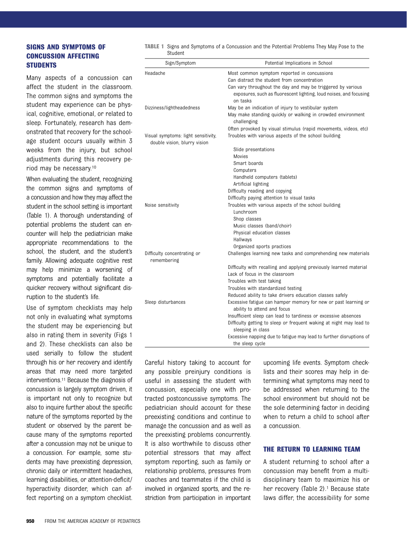# SIGNS AND SYMPTOMS OF CONCUSSION AFFECTING **STUDENTS**

Many aspects of a concussion can affect the student in the classroom. The common signs and symptoms the student may experience can be physical, cognitive, emotional, or related to sleep. Fortunately, research has demonstrated that recovery for the schoolage student occurs usually within 3 weeks from the injury, but school adjustments during this recovery period may be necessary.10

When evaluating the student, recognizing the common signs and symptoms of a concussion and how they may affect the student in the school setting is important (Table 1). A thorough understanding of potential problems the student can encounter will help the pediatrician make appropriate recommendations to the school, the student, and the student's family. Allowing adequate cognitive rest may help minimize a worsening of symptoms and potentially facilitate a quicker recovery without significant disruption to the student's life.

Use of symptom checklists may help not only in evaluating what symptoms the student may be experiencing but also in rating them in severity (Figs 1 and 2). These checklists can also be used serially to follow the student through his or her recovery and identify areas that may need more targeted interventions.11 Because the diagnosis of concussion is largely symptom driven, it is important not only to recognize but also to inquire further about the specific nature of the symptoms reported by the student or observed by the parent because many of the symptoms reported after a concussion may not be unique to a concussion. For example, some students may have preexisting depression, chronic daily or intermittent headaches, learning disabilities, or attention-deficit/ hyperactivity disorder, which can affect reporting on a symptom checklist.

TABLE 1 Signs and Symptoms of a Concussion and the Potential Problems They May Pose to the Student

| prugent                                                             |                                                                                          |
|---------------------------------------------------------------------|------------------------------------------------------------------------------------------|
| Sign/Symptom                                                        | Potential Implications in School                                                         |
| Headache                                                            | Most common symptom reported in concussions                                              |
|                                                                     | Can distract the student from concentration                                              |
|                                                                     | Can vary throughout the day and may be triggered by various                              |
|                                                                     | exposures, such as fluorescent lighting, loud noises, and focusing                       |
|                                                                     | on tasks                                                                                 |
| Dizziness/lightheadedness                                           | May be an indication of injury to vestibular system                                      |
|                                                                     | May make standing quickly or walking in crowded environment<br>challenging               |
|                                                                     | Often provoked by visual stimulus (rapid movements, videos, etc)                         |
| Visual symptoms: light sensitivity,<br>double vision, blurry vision | Troubles with various aspects of the school building                                     |
|                                                                     | Slide presentations                                                                      |
|                                                                     | Movies                                                                                   |
|                                                                     | Smart boards                                                                             |
|                                                                     | Computers                                                                                |
|                                                                     | Handheld computers (tablets)                                                             |
|                                                                     | Artificial lighting                                                                      |
|                                                                     | Difficulty reading and copying                                                           |
|                                                                     | Difficulty paying attention to visual tasks                                              |
| Noise sensitivity                                                   | Troubles with various aspects of the school building                                     |
|                                                                     | Lunchroom                                                                                |
|                                                                     | Shop classes                                                                             |
|                                                                     | Music classes (band/choir)                                                               |
|                                                                     | Physical education classes                                                               |
|                                                                     | Hallways                                                                                 |
|                                                                     | Organized sports practices                                                               |
| Difficulty concentrating or<br>remembering                          | Challenges learning new tasks and comprehending new materials                            |
|                                                                     | Difficulty with recalling and applying previously learned material                       |
|                                                                     | Lack of focus in the classroom                                                           |
|                                                                     | Troubles with test taking                                                                |
|                                                                     | Troubles with standardized testing                                                       |
|                                                                     | Reduced ability to take drivers education classes safely                                 |
| Sleep disturbances                                                  | Excessive fatigue can hamper memory for new or past learning or                          |
|                                                                     | ability to attend and focus                                                              |
|                                                                     | Insufficient sleep can lead to tardiness or excessive absences                           |
|                                                                     | Difficulty getting to sleep or frequent waking at night may lead to<br>sleeping in class |
|                                                                     | Excessive napping due to fatigue may lead to further disruptions of<br>the sleep cycle   |

Careful history taking to account for any possible preinjury conditions is useful in assessing the student with concussion, especially one with protracted postconcussive symptoms. The pediatrician should account for these preexisting conditions and continue to manage the concussion and as well as the preexisting problems concurrently. It is also worthwhile to discuss other potential stressors that may affect symptom reporting, such as family or relationship problems, pressures from coaches and teammates if the child is involved in organized sports, and the restriction from participation in important upcoming life events. Symptom checklists and their scores may help in determining what symptoms may need to be addressed when returning to the school environment but should not be the sole determining factor in deciding when to return a child to school after a concussion.

# THE RETURN TO LEARNING TEAM

A student returning to school after a concussion may benefit from a multidisciplinary team to maximize his or her recovery (Table 2).<sup>1</sup> Because state laws differ, the accessibility for some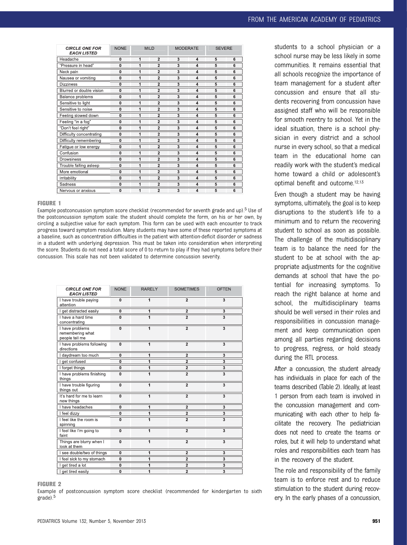| <b>CIRCLE ONE FOR</b><br><b>EACH LISTED</b> | <b>NONE</b> |   | <b>MILD</b>    | <b>MODERATE</b>         |                         | <b>SEVERE</b> |   |
|---------------------------------------------|-------------|---|----------------|-------------------------|-------------------------|---------------|---|
| Headache                                    | $\bf{0}$    | 1 | $\overline{2}$ | 3                       | 4                       | 5             | 6 |
| "Pressure in head"                          | 0           | 1 | $\overline{2}$ | 3                       | 4                       | 5             | 6 |
| Neck pain                                   | 0           | 1 | $\overline{2}$ | 3                       | 4                       | 5             | 6 |
| Nausea or vomiting                          | 0           | 1 | $\overline{2}$ | 3                       | 4                       | 5             | 6 |
| <b>Dizziness</b>                            | 0           | 1 | $\overline{2}$ | $\overline{\mathbf{3}}$ | 4                       | 5             | 6 |
| Blurred or double vision                    | 0           | 1 | $\overline{2}$ | 3                       | 4                       | 5             | 6 |
| Balance problems                            | $\bf{0}$    | 1 | $\overline{2}$ | 3                       | 4                       | 5             | 6 |
| Sensitive to light                          | $\bf{0}$    | 1 | $\overline{2}$ | 3                       | $\overline{\mathbf{A}}$ | 5             | 6 |
| Sensitive to noise                          | 0           | 1 | $\overline{2}$ | 3                       | 4                       | 5             | 6 |
| Feeling slowed down                         | 0           | 1 | $\overline{2}$ | 3                       | 4                       | 5             | 6 |
| Feeling "in a fog"                          | 0           | 1 | $\overline{2}$ | 3                       | 4                       | 5             | 6 |
| "Don't feel right"                          | $\bf{0}$    | 1 | $\overline{2}$ | 3                       | 4                       | 5             | 6 |
| Difficulty concentrating                    | 0           | 1 | $\overline{2}$ | 3                       | $\overline{\mathbf{4}}$ | 5             | 6 |
| Difficulty remembering                      | 0           | 1 | $\overline{2}$ | 3                       | 4                       | 5             | 6 |
| Fatigue or low energy                       | $\Omega$    | 1 | $\overline{2}$ | 3                       | $\overline{\mathbf{4}}$ | 5             | 6 |
| Confusion                                   | $\bf{0}$    | 1 | $\overline{2}$ | 3                       | 4                       | 5             | 6 |
| <b>Drowsiness</b>                           | 0           | 1 | $\overline{2}$ | 3                       | 4                       | 5             | 6 |
| Trouble falling asleep                      | 0           | 1 | $\overline{2}$ | 3                       | 4                       | 5             | 6 |
| More emotional                              | 0           | 1 | $\overline{2}$ | 3                       | 4                       | 5             | 6 |
| Irritability                                | 0           | 1 | $\overline{2}$ | 3                       | 4                       | 5             | 6 |
| Sadness                                     | 0           | 1 | $\overline{2}$ | $\overline{\mathbf{3}}$ | 4                       | 5             | 6 |
| Nervous or anxious                          | 0           | 1 | $\overline{2}$ | 3                       | 4                       | 5             | 6 |

#### FIGURE 1

Example postconcussion symptom score checklist (recommended for seventh grade and up).<sup>5</sup> Use of the postconcussion symptom scale: the student should complete the form, on his or her own, by circling a subjective value for each symptom. This form can be used with each encounter to track progress toward symptom resolution. Many students may have some of these reported symptoms at a baseline, such as concentration difficulties in the patient with attention-deficit disorder or sadness in a student with underlying depression. This must be taken into consideration when interpreting the score. Students do not need a total score of 0 to return to play if they had symptoms before their concussion. This scale has not been validated to determine concussion severity.

| <b>CIRCLE ONE FOR</b><br><b>EACH LISTED</b>           | <b>NONE</b>    | <b>RARELY</b>  | <b>SOMETIMES</b>        | <b>OFTEN</b>            |
|-------------------------------------------------------|----------------|----------------|-------------------------|-------------------------|
| I have trouble paying<br>attention                    | 0              | 1              | $\overline{2}$          | 3                       |
| I get distracted easily                               | 0              | 1              | $\overline{\mathbf{2}}$ | 3                       |
| I have a hard time<br>concentrating                   | $\overline{0}$ | 1              | $\overline{2}$          | $\overline{\mathbf{3}}$ |
| I have problems<br>remembering what<br>people tell me | $\overline{0}$ | 1              | $\overline{2}$          | $\overline{3}$          |
| I have problems following<br>directions               | $\bf{0}$       | $\mathbf{1}$   | $\overline{2}$          | 3                       |
| I daydream too much                                   | $\bf{0}$       | 1              | $\overline{2}$          | 3                       |
| I get confused                                        | $\overline{0}$ | $\mathbf{1}$   | $\overline{2}$          | $\overline{\mathbf{3}}$ |
| I forget things                                       | $\overline{0}$ | 1              | $\overline{2}$          | 3                       |
| I have problems finishing<br>things                   | $\overline{0}$ | 1              | $\overline{2}$          | $\overline{3}$          |
| I have trouble figuring<br>things out                 | $\overline{0}$ | $\overline{1}$ | $\overline{2}$          | $\overline{3}$          |
| It's hard for me to learn<br>new things               | $\bf{0}$       | $\mathbf{1}$   | $\overline{2}$          | 3                       |
| I have headaches                                      | $\overline{0}$ | 1              | $\overline{2}$          | $\overline{\mathbf{3}}$ |
| I feel dizzy                                          | $\bf{0}$       | $\mathbf{1}$   | $\overline{\mathbf{2}}$ | 3                       |
| I feel like the room is<br>spinning                   | $\overline{0}$ | $\overline{1}$ | $\overline{2}$          | $\overline{\mathbf{3}}$ |
| I feel like I'm going to<br>faint                     | $\overline{0}$ | 1              | $\overline{2}$          | $\overline{\mathbf{3}}$ |
| Things are blurry when I<br>look at them              | $\bf{0}$       | 1              | $\overline{2}$          | 3                       |
| I see double/two of things                            | $\bf{0}$       | $\mathbf{1}$   | $\overline{2}$          | 3                       |
| I feel sick to my stomach                             | $\bf{0}$       | 1              | $\overline{2}$          | 3                       |
| I get tired a lot                                     | $\bf{0}$       | $\mathbf{1}$   | $\overline{\mathbf{c}}$ | 3                       |
| I get tired easily                                    | $\bf{0}$       | 1              | $\overline{2}$          | 3                       |

FIGURE 2

Example of postconcussion symptom score checklist (recommended for kindergarten to sixth grade).5

students to a school physician or a school nurse may be less likely in some communities. It remains essential that all schools recognize the importance of team management for a student after concussion and ensure that all students recovering from concussion have assigned staff who will be responsible for smooth reentry to school. Yet in the ideal situation, there is a school physician in every district and a school nurse in every school, so that a medical team in the educational home can readily work with the student's medical home toward a child or adolescent's optimal benefit and outcome.12,13

Even though a student may be having symptoms, ultimately, the goal is to keep disruptions to the student's life to a minimum and to return the recovering student to school as soon as possible. The challenge of the multidisciplinary team is to balance the need for the student to be at school with the appropriate adjustments for the cognitive demands at school that have the potential for increasing symptoms. To reach the right balance at home and school, the multidisciplinary teams should be well versed in their roles and responsibilities in concussion management and keep communication open among all parties regarding decisions to progress, regress, or hold steady during the RTL process.

After a concussion, the student already has individuals in place for each of the teams described (Table 2). Ideally, at least 1 person from each team is involved in the concussion management and communicating with each other to help facilitate the recovery. The pediatrician does not need to create the teams or roles, but it will help to understand what roles and responsibilities each team has in the recovery of the student.

The role and responsibility of the family team is to enforce rest and to reduce stimulation to the student during recovery. In the early phases of a concussion,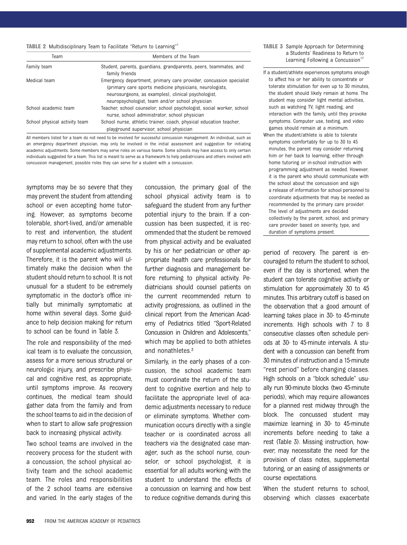TABLE 2 Multidisciplinary Team to Facilitate "Return to Learning"<sup>1</sup>

| Team                          | Members of the Team                                                                                                                                                                                                                     |
|-------------------------------|-----------------------------------------------------------------------------------------------------------------------------------------------------------------------------------------------------------------------------------------|
| Family team                   | Student, parents, guardians, grandparents, peers, teammates, and<br>family friends                                                                                                                                                      |
| Medical team                  | Emergency department, primary care provider, concussion specialist<br>(primary care sports medicine physicians, neurologists,<br>neurosurgeons, as examples), clinical psychologist,<br>neuropsychologist, team and/or school physician |
| School academic team          | Teacher, school counselor, school psychologist, social worker, school<br>nurse, school administrator, school physician                                                                                                                  |
| School physical activity team | School nurse, athletic trainer, coach, physical education teacher,<br>playground supervisor, school physician                                                                                                                           |

All members listed for a team do not need to be involved for successful concussion management. An individual, such as an emergency department physician, may only be involved in the initial assessment and suggestion for initiating academic adjustments. Some members may serve roles on various teams. Some schools may have access to only certain individuals suggested for a team. This list is meant to serve as a framework to help pediatricians and others involved with concussion management, possible roles they can serve for a student with a concussion.

symptoms may be so severe that they may prevent the student from attending school or even accepting home tutoring. However, as symptoms become tolerable, short-lived, and/or amenable to rest and intervention, the student may return to school, often with the use of supplemental academic adjustments. Therefore, it is the parent who will ultimately make the decision when the student should return to school. It is not unusual for a student to be extremely symptomatic in the doctor's office initially but minimally symptomatic at home within several days. Some guidance to help decision making for return to school can be found in Table 3.

The role and responsibility of the medical team is to evaluate the concussion, assess for a more serious structural or neurologic injury, and prescribe physical and cognitive rest, as appropriate, until symptoms improve. As recovery continues, the medical team should gather data from the family and from the school teams to aid in the decision of when to start to allow safe progression back to increasing physical activity.

Two school teams are involved in the recovery process for the student with a concussion, the school physical activity team and the school academic team. The roles and responsibilities of the 2 school teams are extensive and varied. In the early stages of the

concussion, the primary goal of the school physical activity team is to safeguard the student from any further potential injury to the brain. If a concussion has been suspected, it is recommended that the student be removed from physical activity and be evaluated by his or her pediatrician or other appropriate health care professionals for further diagnosis and management before returning to physical activity. Pediatricians should counsel patients on the current recommended return to activity progressions, as outlined in the clinical report from the American Academy of Pediatrics titled "Sport-Related Concussion in Children and Adolescents," which may be applied to both athletes and nonathletes.3

Similarly, in the early phases of a concussion, the school academic team must coordinate the return of the student to cognitive exertion and help to facilitate the appropriate level of academic adjustments necessary to reduce or eliminate symptoms. Whether communication occurs directly with a single teacher or is coordinated across all teachers via the designated case manager, such as the school nurse, counselor, or school psychologist, it is essential for all adults working with the student to understand the effects of a concussion on learning and how best to reduce cognitive demands during this

- TABLE 3 Sample Approach for Determining a Students' Readiness to Return to Learning Following a Concussion $17$
- If a student/athlete experiences symptoms enough to affect his or her ability to concentrate or tolerate stimulation for even up to 30 minutes, the student should likely remain at home. The student may consider light mental activities, such as watching TV, light reading, and interaction with the family, until they provoke symptoms. Computer use, texting, and video games should remain at a minimum.
- When the student/athlete is able to tolerate symptoms comfortably for up to 30 to 45 minutes, the parent may consider returning him or her back to learning, either through home tutoring or in-school instruction with programming adjustment as needed. However, it is the parent who should communicate with the school about the concussion and sign a release of information for school personnel to coordinate adjustments that may be needed as recommended by the primary care provider. The level of adjustments are decided collectively by the parent, school, and primary care provider based on severity, type, and duration of symptoms present.

period of recovery. The parent is encouraged to return the student to school, even if the day is shortened, when the student can tolerate cognitive activity or stimulation for approximately 30 to 45 minutes. This arbitrary cutoff is based on the observation that a good amount of learning takes place in 30- to 45-minute increments. High schools with 7 to 8 consecutive classes often schedule periods at 30- to 45-minute intervals. A student with a concussion can benefit from 30 minutes of instruction and a 15-minute "rest period" before changing classes. High schools on a "block schedule" usually run 90-minute blocks (two 45-minute periods), which may require allowances for a planned rest midway through the block. The concussed student may maximize learning in 30- to 45-minute increments before needing to take a rest (Table 3). Missing instruction, however, may necessitate the need for the provision of class notes, supplemental tutoring, or an easing of assignments or course expectations.

When the student returns to school, observing which classes exacerbate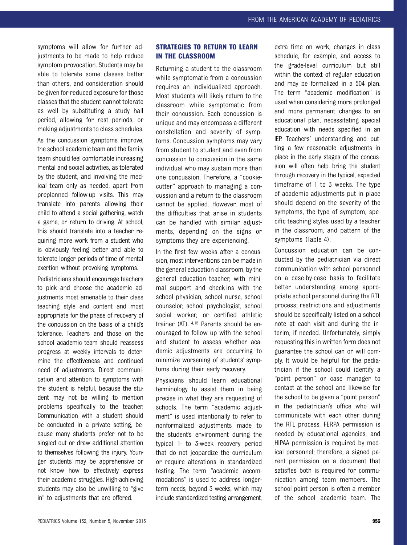symptoms will allow for further adjustments to be made to help reduce symptom provocation. Students may be able to tolerate some classes better than others, and consideration should be given for reduced exposure for those classes that the student cannot tolerate as well by substituting a study hall period, allowing for rest periods, or making adjustments to class schedules.

As the concussion symptoms improve, the school academic team and the family team should feel comfortable increasing mental and social activities, as tolerated by the student, and involving the medical team only as needed, apart from preplanned follow-up visits. This may translate into parents allowing their child to attend a social gathering, watch a game, or return to driving. At school, this should translate into a teacher requiring more work from a student who is obviously feeling better and able to tolerate longer periods of time of mental exertion without provoking symptoms.

Pediatricians should encourage teachers to pick and choose the academic adjustments most amenable to their class teaching style and content and most appropriate for the phase of recovery of the concussion on the basis of a child's tolerance. Teachers and those on the school academic team should reassess progress at weekly intervals to determine the effectiveness and continued need of adjustments. Direct communication and attention to symptoms with the student is helpful, because the student may not be willing to mention problems specifically to the teacher. Communication with a student should be conducted in a private setting, because many students prefer not to be singled out or draw additional attention to themselves following the injury. Younger students may be apprehensive or not know how to effectively express their academic struggles. High-achieving students may also be unwilling to "give in" to adjustments that are offered.

# STRATEGIES TO RETURN TO LEARN IN THE CLASSROOM

Returning a student to the classroom while symptomatic from a concussion requires an individualized approach. Most students will likely return to the classroom while symptomatic from their concussion. Each concussion is unique and may encompass a different constellation and severity of symptoms. Concussion symptoms may vary from student to student and even from concussion to concussion in the same individual who may sustain more than one concussion. Therefore, a "cookiecutter" approach to managing a concussion and a return to the classroom cannot be applied. However, most of the difficulties that arise in students can be handled with similar adjustments, depending on the signs or symptoms they are experiencing.

In the first few weeks after a concussion, most interventions can be made in the general education classroom, by the general education teacher, with minimal support and check-ins with the school physician, school nurse, school counselor, school psychologist, school social worker, or certified athletic trainer (AT).14,15 Parents should be encouraged to follow up with the school and student to assess whether academic adjustments are occurring to minimize worsening of students' symptoms during their early recovery.

Physicians should learn educational terminology to assist them in being precise in what they are requesting of schools. The term "academic adjustment" is used intentionally to refer to nonformalized adjustments made to the student's environment during the typical 1- to 3-week recovery period that do not jeopardize the curriculum or require alterations in standardized testing. The term "academic accommodations" is used to address longerterm needs, beyond 3 weeks, which may include standardized testing arrangement,

extra time on work, changes in class schedule, for example, and access to the grade-level curriculum but still within the context of regular education and may be formalized in a 504 plan. The term "academic modification" is used when considering more prolonged and more permanent changes to an educational plan, necessitating special education with needs specified in an IEP. Teachers' understanding and putting a few reasonable adjustments in place in the early stages of the concussion will often help bring the student through recovery in the typical, expected timeframe of 1 to 3 weeks. The type of academic adjustments put in place should depend on the severity of the symptoms, the type of symptom, specific teaching styles used by a teacher in the classroom, and pattern of the symptoms (Table 4).

Concussion education can be conducted by the pediatrician via direct communication with school personnel on a case-by-case basis to facilitate better understanding among appropriate school personnel during the RTL process; restrictions and adjustments should be specifically listed on a school note at each visit and during the interim, if needed. Unfortunately, simply requesting this in written form does not guarantee the school can or will comply. It would be helpful for the pediatrician if the school could identify a "point person" or case manager to contact at the school and likewise for the school to be given a "point person" in the pediatrician's office who will communicate with each other during the RTL process. FERPA permission is needed by educational agencies, and HIPAA permission is required by medical personnel; therefore, a signed parent permission on a document that satisfies both is required for communication among team members. The school point person is often a member of the school academic team. The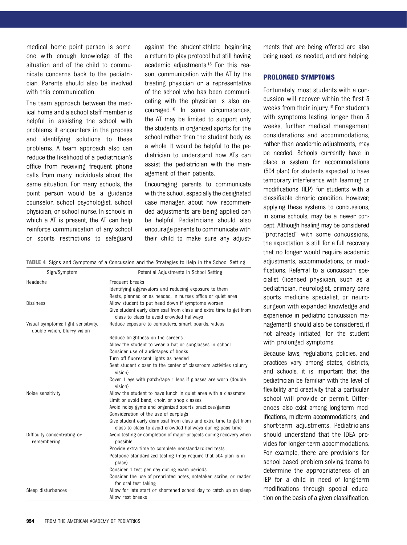medical home point person is someone with enough knowledge of the situation and of the child to communicate concerns back to the pediatrician. Parents should also be involved with this communication.

The team approach between the medical home and a school staff member is helpful in assisting the school with problems it encounters in the process and identifying solutions to these problems. A team approach also can reduce the likelihood of a pediatrician's office from receiving frequent phone calls from many individuals about the same situation. For many schools, the point person would be a guidance counselor, school psychologist, school physician, or school nurse. In schools in which a AT is present, the AT can help reinforce communication of any school or sports restrictions to safeguard against the student-athlete beginning a return to play protocol but still having academic adjustments.15 For this reason, communication with the AT by the treating physician or a representative of the school who has been communicating with the physician is also encouraged.16 In some circumstances, the AT may be limited to support only the students in organized sports for the school rather than the student body as a whole. It would be helpful to the pediatrician to understand how ATs can assist the pediatrician with the management of their patients.

Encouraging parents to communicate with the school, especially the designated case manager, about how recommended adjustments are being applied can be helpful. Pediatricians should also encourage parents to communicate with their child to make sure any adjust-

TABLE 4 Signs and Symptoms of a Concussion and the Strategies to Help in the School Setting

| Sign/Symptom                                                        | Potential Adjustments in School Setting                                                                                         |
|---------------------------------------------------------------------|---------------------------------------------------------------------------------------------------------------------------------|
| Headache                                                            | Frequent breaks                                                                                                                 |
|                                                                     | Identifying aggravators and reducing exposure to them                                                                           |
|                                                                     | Rests, planned or as needed, in nurses office or quiet area                                                                     |
| <b>Dizziness</b>                                                    | Allow student to put head down if symptoms worsen                                                                               |
|                                                                     | Give student early dismissal from class and extra time to get from<br>class to class to avoid crowded hallways                  |
| Visual symptoms: light sensitivity,<br>double vision, blurry vision | Reduce exposure to computers, smart boards, videos                                                                              |
|                                                                     | Reduce brightness on the screens                                                                                                |
|                                                                     | Allow the student to wear a hat or sunglasses in school                                                                         |
|                                                                     | Consider use of audiotapes of books                                                                                             |
|                                                                     | Turn off fluorescent lights as needed                                                                                           |
|                                                                     | Seat student closer to the center of classroom activities (blurry<br>vision)                                                    |
|                                                                     | Cover 1 eye with patch/tape 1 lens if glasses are worn (double<br>vision)                                                       |
| Noise sensitivity                                                   | Allow the student to have lunch in quiet area with a classmate<br>Limit or avoid band, choir, or shop classes                   |
|                                                                     | Avoid noisy gyms and organized sports practices/games<br>Consideration of the use of earplugs                                   |
|                                                                     | Give student early dismissal from class and extra time to get from<br>class to class to avoid crowded hallways during pass time |
| Difficulty concentrating or<br>remembering                          | Avoid testing or completion of major projects during recovery when<br>possible                                                  |
|                                                                     | Provide extra time to complete nonstandardized tests                                                                            |
|                                                                     | Postpone standardized testing (may require that 504 plan is in<br>place)                                                        |
|                                                                     | Consider 1 test per day during exam periods                                                                                     |
|                                                                     | Consider the use of preprinted notes, notetaker, scribe, or reader<br>for oral test taking                                      |
| Sleep disturbances                                                  | Allow for late start or shortened school day to catch up on sleep<br>Allow rest breaks                                          |

ments that are being offered are also being used, as needed, and are helping.

## PROLONGED SYMPTOMS

Fortunately, most students with a concussion will recover within the first 3 weeks from their injury.10 For students with symptoms lasting longer than 3 weeks, further medical management considerations and accommodations, rather than academic adjustments, may be needed. Schools currently have in place a system for accommodations (504 plan) for students expected to have temporary interference with learning or modifications (IEP) for students with a classifiable chronic condition. However, applying these systems to concussions, in some schools, may be a newer concept. Although healing may be considered "protracted" with some concussions, the expectation is still for a full recovery that no longer would require academic adjustments, accommodations, or modifications. Referral to a concussion specialist (licensed physician, such as a pediatrician, neurologist, primary care sports medicine specialist, or neurosurgeon with expanded knowledge and experience in pediatric concussion management) should also be considered, if not already initiated, for the student with prolonged symptoms.

Because laws, regulations, policies, and practices vary among states, districts, and schools, it is important that the pediatrician be familiar with the level of flexibility and creativity that a particular school will provide or permit. Differences also exist among long-term modifications, midterm accommodations, and short-term adjustments. Pediatricians should understand that the IDEA provides for longer-term accommodations. For example, there are provisions for school-based problem-solving teams to determine the appropriateness of an IEP for a child in need of long-term modifications through special education on the basis of a given classification.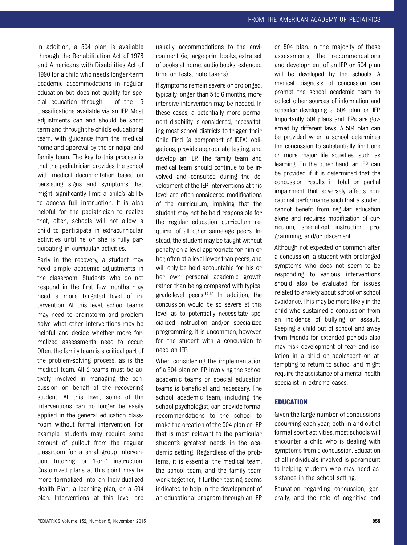In addition, a 504 plan is available through the Rehabilitation Act of 1973 and Americans with Disabilities Act of 1990 for a child who needs longer-term academic accommodations in regular education but does not qualify for special education through 1 of the 13 classifications available via an IEP. Most adjustments can and should be short term and through the child's educational team, with guidance from the medical home and approval by the principal and family team. The key to this process is that the pediatrician provides the school with medical documentation based on persisting signs and symptoms that might significantly limit a child's ability to access full instruction. It is also helpful for the pediatrician to realize that, often, schools will not allow a child to participate in extracurricular activities until he or she is fully participating in curricular activities.

Early in the recovery, a student may need simple academic adjustments in the classroom. Students who do not respond in the first few months may need a more targeted level of intervention. At this level, school teams may need to brainstorm and problem solve what other interventions may be helpful and decide whether more formalized assessments need to occur. Often, the family team is a critical part of the problem-solving process, as is the medical team. All 3 teams must be actively involved in managing the concussion on behalf of the recovering student. At this level, some of the interventions can no longer be easily applied in the general education classroom without formal intervention. For example, students may require some amount of pullout from the regular classroom for a small-group intervention, tutoring, or 1-on-1 instruction. Customized plans at this point may be more formalized into an Individualized Health Plan, a learning plan, or a 504 plan. Interventions at this level are

usually accommodations to the environment (ie, large-print books, extra set of books at home, audio books, extended time on tests, note takers).

If symptoms remain severe or prolonged, typically longer than 5 to 6 months, more intensive intervention may be needed. In these cases, a potentially more permanent disability is considered, necessitating most school districts to trigger their Child Find (a component of IDEA) obligations, provide appropriate testing, and develop an IEP. The family team and medical team should continue to be involved and consulted during the development of the IEP. Interventions at this level are often considered modifications of the curriculum, implying that the student may not be held responsible for the regular education curriculum required of all other same-age peers. Instead, the student may be taught without penalty on a level appropriate for him or her, often at a level lower than peers, and will only be held accountable for his or her own personal academic growth rather than being compared with typical grade-level peers.17,18 In addition, the concussion would be so severe at this level as to potentially necessitate specialized instruction and/or specialized programming. It is uncommon, however, for the student with a concussion to need an IEP.

When considering the implementation of a 504 plan or IEP, involving the school academic teams or special education teams is beneficial and necessary. The school academic team, including the school psychologist, can provide formal recommendations to the school to make the creation of the 504 plan or IEP that is most relevant to the particular student's greatest needs in the academic setting. Regardless of the problems, it is essential the medical team, the school team, and the family team work together, if further testing seems indicated to help in the development of an educational program through an IEP

or 504 plan. In the majority of these assessments, the recommendations and development of an IEP or 504 plan will be developed by the schools. A medical diagnosis of concussion can prompt the school academic team to collect other sources of information and consider developing a 504 plan or IEP. Importantly, 504 plans and IEPs are governed by different laws. A 504 plan can be provided when a school determines the concussion to substantially limit one or more major life activities, such as learning. On the other hand, an IEP can be provided if it is determined that the concussion results in total or partial impairment that adversely affects educational performance such that a student cannot benefit from regular education alone and requires modification of curriculum, specialized instruction, programming, and/or placement.

Although not expected or common after a concussion, a student with prolonged symptoms who does not seem to be responding to various interventions should also be evaluated for issues related to anxiety about school or school avoidance. This may be more likely in the child who sustained a concussion from an incidence of bullying or assault. Keeping a child out of school and away from friends for extended periods also may risk development of fear and isolation in a child or adolescent on attempting to return to school and might require the assistance of a mental health specialist in extreme cases.

# EDUCATION

Given the large number of concussions occurring each year, both in and out of formal sport activities, most schools will encounter a child who is dealing with symptoms from a concussion. Education of all individuals involved is paramount to helping students who may need assistance in the school setting.

Education regarding concussion, generally, and the role of cognitive and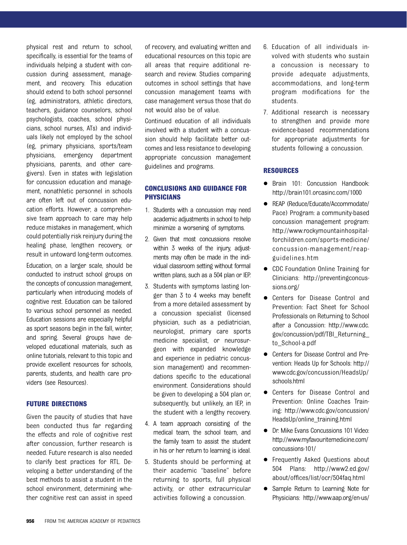physical rest and return to school, specifically, is essential for the teams of individuals helping a student with concussion during assessment, management, and recovery. This education should extend to both school personnel (eg, administrators, athletic directors, teachers, guidance counselors, school psychologists, coaches, school physicians, school nurses, ATs) and individuals likely not employed by the school (eg, primary physicians, sports/team physicians, emergency department physicians, parents, and other caregivers). Even in states with legislation for concussion education and management, nonathletic personnel in schools are often left out of concussion education efforts. However, a comprehensive team approach to care may help reduce mistakes in management, which could potentially risk reinjury during the healing phase, lengthen recovery, or result in untoward long-term outcomes. Education, on a larger scale, should be conducted to instruct school groups on the concepts of concussion management, particularly when introducing models of cognitive rest. Education can be tailored to various school personnel as needed. Education sessions are especially helpful as sport seasons begin in the fall, winter, and spring. Several groups have developed educational materials, such as online tutorials, relevant to this topic and provide excellent resources for schools, parents, students, and health care providers (see Resources).

# FUTURE DIRECTIONS

Given the paucity of studies that have been conducted thus far regarding the effects and role of cognitive rest after concussion, further research is needed. Future research is also needed to clarify best practices for RTL. Developing a better understanding of the best methods to assist a student in the school environment, determining whether cognitive rest can assist in speed

of recovery, and evaluating written and educational resources on this topic are all areas that require additional research and review. Studies comparing outcomes in school settings that have concussion management teams with case management versus those that do not would also be of value.

Continued education of all individuals involved with a student with a concussion should help facilitate better outcomes and less resistance to developing appropriate concussion management guidelines and programs.

# CONCLUSIONS AND GUIDANCE FOR PHYSICIANS

- 1. Students with a concussion may need academic adjustments in school to help minimize a worsening of symptoms.
- 2. Given that most concussions resolve within 3 weeks of the injury, adjustments may often be made in the individual classroom setting without formal written plans, such as a 504 plan or IEP.
- 3. Students with symptoms lasting longer than 3 to 4 weeks may benefit from a more detailed assessment by a concussion specialist (licensed physician, such as a pediatrician, neurologist, primary care sports medicine specialist, or neurosurgeon with expanded knowledge and experience in pediatric concussion management) and recommendations specific to the educational environment. Considerations should be given to developing a 504 plan or, subsequently, but unlikely, an IEP, in the student with a lengthy recovery.
- 4. A team approach consisting of the medical team, the school team, and the family team to assist the student in his or her return to learning is ideal.
- 5. Students should be performing at their academic "baseline" before returning to sports, full physical activity, or other extracurricular activities following a concussion.
- 6. Education of all individuals involved with students who sustain a concussion is necessary to provide adequate adjustments, accommodations, and long-term program modifications for the students.
- 7. Additional research is necessary to strengthen and provide more evidence-based recommendations for appropriate adjustments for students following a concussion.

# **RESOURCES**

- Brain 101: Concussion Handbook: <http://brain101.orcasinc.com/1000>
- REAP (Reduce/Educate/Accommodate/ Pace) Program: a community-based concussion management program: [http://www.rockymountainhospital](http://www.rockymountainhospitalforchildren.com/sports-medicine/concussion-management/reap-guidelines.htm)[forchildren.com/sports-medicine/](http://www.rockymountainhospitalforchildren.com/sports-medicine/concussion-management/reap-guidelines.htm) [concussion-management/reap](http://www.rockymountainhospitalforchildren.com/sports-medicine/concussion-management/reap-guidelines.htm)[guidelines.htm](http://www.rockymountainhospitalforchildren.com/sports-medicine/concussion-management/reap-guidelines.htm)
- CDC Foundation Online Training for Clinicians: [http://preventingconcus](http://preventingconcussions.org/)[sions.org/](http://preventingconcussions.org/)
- Centers for Disease Control and Prevention: Fact Sheet for School Professionals on Returning to School after a Concussion: [http://www.cdc.](http://www.cdc.gov/concussion/pdf/TBI_Returning_to_School-a.pdf) [gov/concussion/pdf/TBI\\_Returning\\_](http://www.cdc.gov/concussion/pdf/TBI_Returning_to_School-a.pdf) [to\\_School-a.pdf](http://www.cdc.gov/concussion/pdf/TBI_Returning_to_School-a.pdf)
- Centers for Disease Control and Prevention: Heads Up for Schools: [http://](http://www.cdc.gov/concussion/HeadsUp/schools.html) [www.cdc.gov/concussion/HeadsUp/](http://www.cdc.gov/concussion/HeadsUp/schools.html) [schools.html](http://www.cdc.gov/concussion/HeadsUp/schools.html)
- Centers for Disease Control and Prevention: Online Coaches Training: [http://www.cdc.gov/concussion/](http://www.cdc.gov/concussion/HeadsUp/online_training.html) [HeadsUp/online\\_training.html](http://www.cdc.gov/concussion/HeadsUp/online_training.html)
- Dr. Mike Evans Concussions 101 Video: [http://www.myfavouritemedicine.com/](http://www.myfavouritemedicine.com/concussions-101/) [concussions-101/](http://www.myfavouritemedicine.com/concussions-101/)
- Frequently Asked Questions about<br>504 Plans: http://www2.ed.gov/ Plans: [http://www2.ed.gov/](http://www2.ed.gov/about/offices/list/ocr/504faq.html) about/offi[ces/list/ocr/504faq.html](http://www2.ed.gov/about/offices/list/ocr/504faq.html)
- Sample Return to Learning Note for Physicians: [http://www.aap.org/en-us/](http://www.aap.org/en-us/about-the-aap/Committees-Councils-Sections/Council-on-sports-medicine-and-fitness/Documents/returntoschool.pdf)